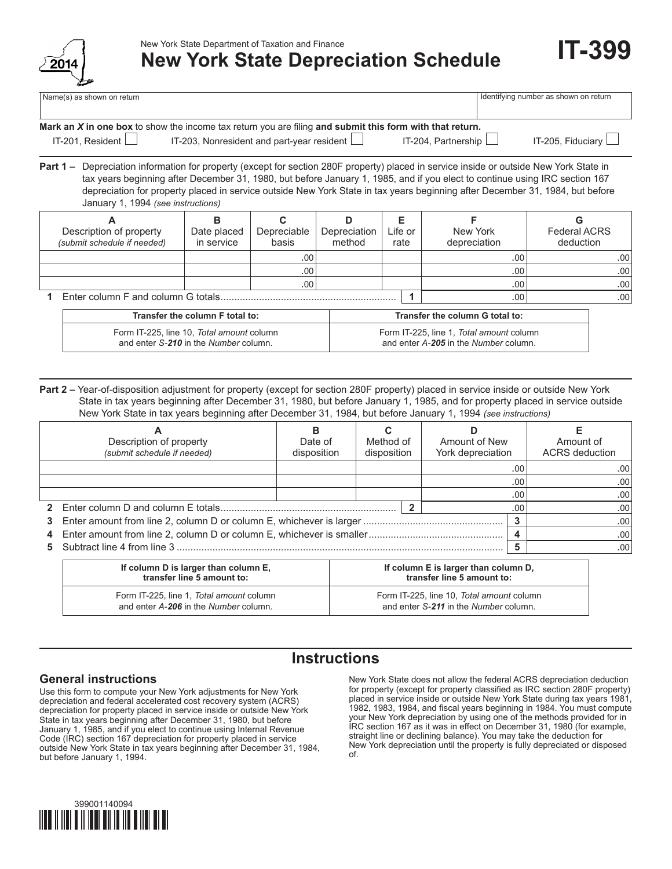

New York State Department of Taxation and Finance

# **New York State Depreciation Schedule**

Identifying number as shown on return

| Vame(s) as shown on return |  |  |  |
|----------------------------|--|--|--|
|----------------------------|--|--|--|

| Mark an $X$ in one box to show the income tax return you are filing and submit this form with that return. |                                                   |                            |                          |  |  |
|------------------------------------------------------------------------------------------------------------|---------------------------------------------------|----------------------------|--------------------------|--|--|
| IT-201, Resident $\Box$                                                                                    | IT-203, Nonresident and part-year resident $\Box$ | IT-204, Partnership $\Box$ | IT-205, Fiduciary $\Box$ |  |  |

**Part 1 –** Depreciation information for property (except for section 280F property) placed in service inside or outside New York State in tax years beginning after December 31, 1980, but before January 1, 1985, and if you elect to continue using IRC section 167 depreciation for property placed in service outside New York State in tax years beginning after December 31, 1984, but before January 1, 1994 *(see instructions)*

|                                    | Description of property<br>(submit schedule if needed) | Date placed<br>in service | Depreciable<br>basis | Depreciation<br>method | Life or<br>rate | New York<br>depreciation | <b>Federal ACRS</b><br>deduction |
|------------------------------------|--------------------------------------------------------|---------------------------|----------------------|------------------------|-----------------|--------------------------|----------------------------------|
|                                    |                                                        |                           | .00'                 |                        |                 | .00                      | .00 <sup>1</sup>                 |
|                                    |                                                        |                           | ا 00.                |                        |                 | .00                      | .00                              |
|                                    |                                                        |                           | ا 00.                |                        |                 | .00                      | .00                              |
| Enter column F and column G totals |                                                        |                           |                      |                        | .00             | .00 <sub>1</sub>         |                                  |

| Transfer the column F total to:           | Transfer the column G total to:          |
|-------------------------------------------|------------------------------------------|
| Form IT-225, line 10, Total amount column | Form IT-225, line 1, Total amount column |
| and enter S-210 in the Number column.     | and enter A-205 in the Number column.    |

**Part 2 –** Year-of-disposition adjustment for property (except for section 280F property) placed in service inside or outside New York State in tax years beginning after December 31, 1980, but before January 1, 1985, and for property placed in service outside New York State in tax years beginning after December 31, 1984, but before January 1, 1994 *(see instructions)*

| Description of property<br>(submit schedule if needed)                       | в<br>Date of<br>disposition | Method of<br>disposition |     | Amount of New<br>York depreciation |     | Amount of<br><b>ACRS</b> deduction |
|------------------------------------------------------------------------------|-----------------------------|--------------------------|-----|------------------------------------|-----|------------------------------------|
|                                                                              |                             |                          |     |                                    | .00 | .00                                |
|                                                                              |                             |                          |     |                                    | .00 | .00                                |
|                                                                              |                             |                          |     |                                    | .00 | .00                                |
|                                                                              |                             |                          | .00 | .00                                |     |                                    |
| ◠                                                                            |                             |                          |     |                                    |     | .00                                |
| 4                                                                            |                             |                          |     |                                    | .00 |                                    |
|                                                                              |                             |                          |     |                                    |     | .00                                |
| If column D is larger than column E,<br>If column E is larger than column D, |                             |                          |     |                                    |     |                                    |

| If column D is larger than column E,     | If column E is larger than column D,      |
|------------------------------------------|-------------------------------------------|
| transfer line 5 amount to:               | transfer line 5 amount to:                |
| Form IT-225, line 1. Total amount column | Form IT-225, line 10, Total amount column |
| and enter A-206 in the Number column.    | and enter S-211 in the Number column.     |

## **Instructions**

### **General instructions**

Use this form to compute your New York adjustments for New York depreciation and federal accelerated cost recovery system (ACRS) depreciation for property placed in service inside or outside New York State in tax years beginning after December 31, 1980, but before January 1, 1985, and if you elect to continue using Internal Revenue Code (IRC) section 167 depreciation for property placed in service outside New York State in tax years beginning after December 31, 1984, but before January 1, 1994.

New York State does not allow the federal ACRS depreciation deduction for property (except for property classified as IRC section 280F property) placed in service inside or outside New York State during tax years 1981, 1982, 1983, 1984, and fiscal years beginning in 1984. You must compute your New York depreciation by using one of the methods provided for in IRC section 167 as it was in effect on December 31, 1980 (for example, straight line or declining balance). You may take the deduction for New York depreciation until the property is fully depreciated or disposed of.